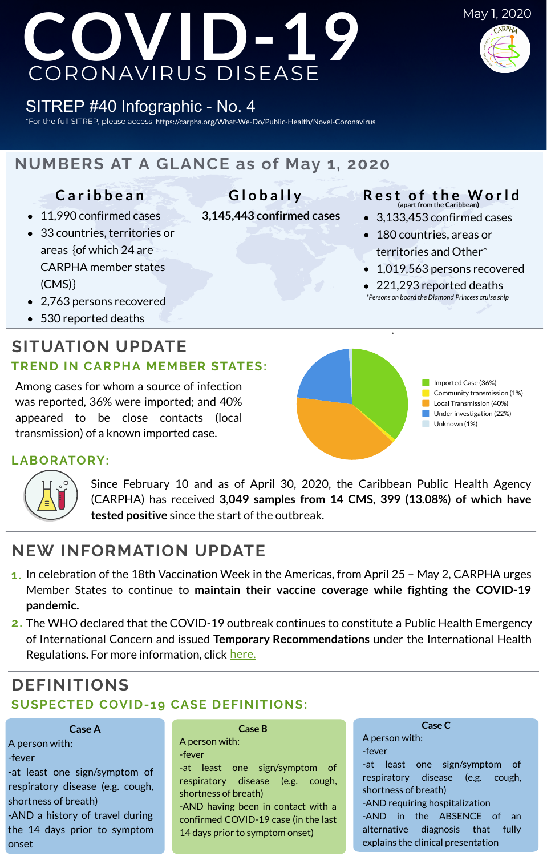

# **NUMBERS AT A GLANCE as of May 1, 2020**

.

# **SITUATION UPDATE**



Among cases for whom a source of infection was reported, 36% were imported; and 40%

appeared to be close contacts (local transmission) of a known imported case.

# **C a r i b b e a n G l o b a l l y**

- 11,990 confirmed cases
- 33 countries, territories or areas {of which 24 are CARPHA member states (CMS)}
- 2,763 persons recovered
- 530 reported deaths

#### **Rest of the World (apart from the Caribbean)**

# **COVID-19** CORONAVIRUS DISEASE

**3,145,443 confirmed cases**

- 3,133,453 confirmed cases
- 180 countries, areas or territories and Other\*
- 1,019,563 persons recovered
- 221,293 reported deaths *\*Persons on board the Diamond Princess cruise ship*

# SITREP #40 Infographic - No. 4

\*For the full SITREP, please access <https://carpha.org/What-We-Do/Public-Health/Novel-Coronavirus>

Since February 10 and as of April 30, 2020, the Caribbean Public Health Agency (CARPHA) has received **3,049 samples from 14 CMS, 399 (13.08%) of which have tested positive** since the start of the outbreak.

# **TREND IN CARPHA MEMBER STATES:**

## **LABORATORY:**



# **DEFINITIONS**

#### the 14 days prior to symptom



| <b>Case A</b>                    | <b>Case B</b>                                               | <b>Case C</b>                           |
|----------------------------------|-------------------------------------------------------------|-----------------------------------------|
| A person with:                   | A person with:                                              | A person with:                          |
| -fever                           | -fever                                                      | -fever<br>-at least one sign/symptom of |
| -at least one sign/symptom of    | -at least one sign/symptom of                               | respiratory disease (e.g.<br>cough,     |
| respiratory disease (e.g. cough, | respiratory disease (e.g.<br>cough,<br>shortness of breath) | shortness of breath)                    |
| shortness of breath)             | -AND having been in contact with a                          | -AND requiring hospitalization          |
| -AND a history of travel during  | confirmed COVID-19 case (in the last                        | the ABSENCE<br>-AND in<br>an            |

#### confirmed COVID-19 case (in the last





#### explains the clinical presentation

# **SUSPECTED COVID-19 CASE DEFINITIONS:**

# **NEW INFORMATION UPDATE**

- **1**. In celebration of the 18th Vaccination Week in the Americas, from April 25 May 2, CARPHA urges Member States to continue to **maintain their vaccine coverage while fighting the COVID-19 pandemic.**
- **2.** The WHO declared that the COVID-19 outbreak continues to constitute a Public Health Emergency of International Concern and issued **Temporary Recommendations** under the International Health Regulations. For more information, click [here.](https://www.who.int/news-room/detail/01-05-2020-statement-on-the-third-meeting-of-the-international-health-regulations-(2005)-emergency-committee-regarding-the-outbreak-of-coronavirus-disease-(covid-19))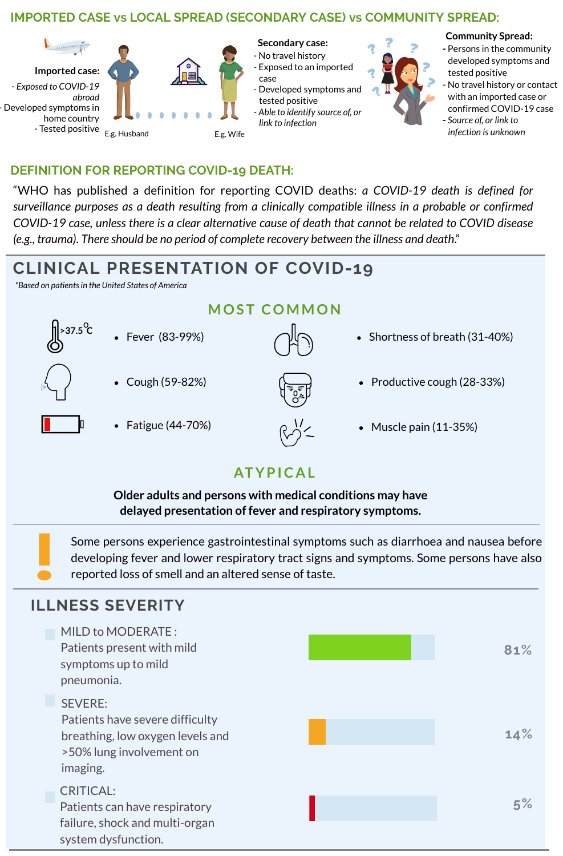### **IMPORTED CASE vs LOCAL SPREAD (SECONDARY CASE) vs COMMUNITY SPREAD:**





- **-** Persons in the community developed symptoms and tested positive
- No travel history or contact with an imported case or confirmed COVID-19 case
- **-** *Source of, or link to infection is unknown*

#### **Community Spread:**

Fever (83-99%)



• Shortness of breath (31-40%)







• Productive cough (28-33%)



Fatigue (44-70%)





Muscle pain (11-35%)

# **ATYPIC A L**

**Older adults and persons with medical conditions may have delayed presentation of fever and respiratory symptoms.**

"WHO has published a definition for reporting COVID deaths: *a COVID-19 death is defined for surveillance purposes as a death resulting from a clinically compatible illness in a probable or confirmed* COVID-19 case, unless there is a clear alternative cause of death that cannot be related to COVID disease *(e.g., trauma). There should be no period of complete recovery between the illness and death*."

**MOST COMMON** 

*\*Based on patientsin the United States of America*

# **DEFINITION FOR REPORTING COVID-19 DEATH:**

Some persons experience gastrointestinal symptoms such as diarrhoea and nausea before developing fever and lower respiratory tract signs and symptoms. Some persons have also reported loss of smell and an altered sense of taste.

MILD to MODERATE : Patients present with mild symptoms up to mild pneumonia.

# **ILLNESS SEVERITY**

### SEVERE:





Patients have severe difficulty breathing, low oxygen levels and >50% lung involvement on imaging.

#### CRITICAL:

Patients can have respiratory failure, shock and multi-organ system dysfunction.

# **CLINICAL PRESENTATION OF COVID-19**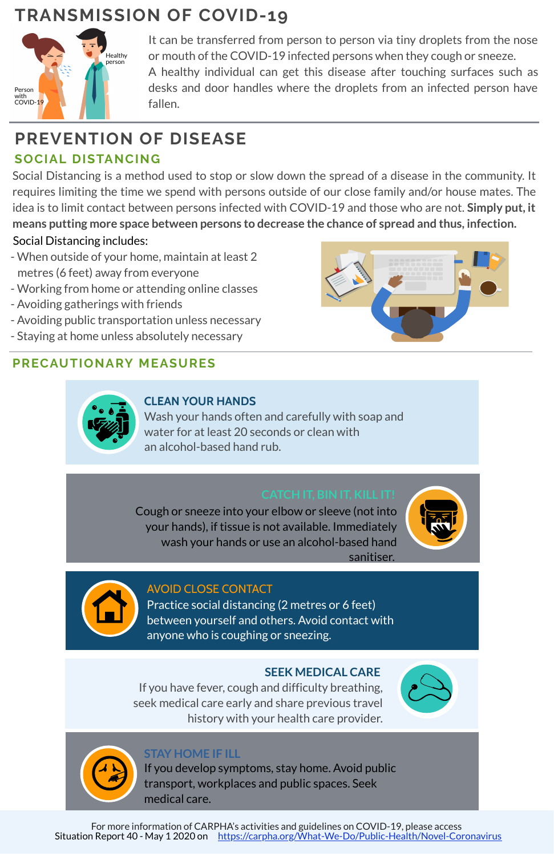It can be transferred from person to person via tiny droplets from the nose or mouth of the COVID-19 infected persons when they cough or sneeze. A healthy individual can get this disease after touching surfaces such as desks and door handles where the droplets from an infected person have fallen.

# **SOCIAL DISTANCING**

# **PREVENTION OF DISEASE**

Social Distancing is a method used to stop or slow down the spread of a disease in the community. It requires limiting the time we spend with persons outside of our close family and/or house mates. The idea is to limit contact between persons infected with COVID-19 and those who are not. **Simply put, it means putting more space between persons to decrease the chance of spread and thus, infection.**

# **TRANSMISSION OF COVID-19**

# Social Distancing includes:

- When outside of your home, maintain at least 2 metres (6 feet) away from everyone
- Working from home or attending online classes
- Avoiding gatherings with friends
- Avoiding public transportation unless necessary
- Staying at home unless absolutely necessary

#### **CLEAN YOUR HANDS**

Wash your hands often and carefully with soap and water for at least 20 seconds or clean with an alcohol-based hand rub.



#### AVOID CLOSE CONTACT

Practice social distancing (2 metres or 6 feet) between yourself and others. Avoid contact with anyone who is coughing or sneezing.

#### **SEEK MEDICAL CARE**

If you have fever, cough and difficulty breathing, seek medical care early and share previous travel history with your health care provider.





Cough or sneeze into your elbow or sleeve (not into your hands), if tissue is not available. Immediately wash your hands or use an alcohol-based hand sanitiser.





#### **STAY HOME IF ILL**

If you develop symptoms, stay home. Avoid public transport, workplaces and public spaces. Seek medical care.

For more information of CARPHA's activities and guidelines on COVID-19, please access





# **PRECAUTIONARY MEASURES**